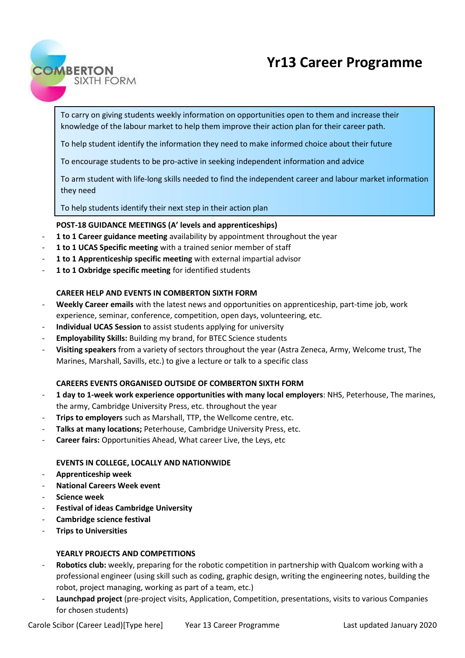# **Yr13 Career Programme**



To carry on giving students weekly information on opportunities open to them and increase their knowledge of the labour market to help them improve their action plan for their career path.

To help student identify the information they need to make informed choice about their future

To encourage students to be pro-active in seeking independent information and advice

To arm student with life-long skills needed to find the independent career and labour market information they need

To help students identify their next step in their action plan

## **POST-18 GUIDANCE MEETINGS (A' levels and apprenticeships)**

- **1 to 1 Career guidance meeting** availability by appointment throughout the year
- 1 to 1 UCAS Specific meeting with a trained senior member of staff
- **1 to 1 Apprenticeship specific meeting** with external impartial advisor
- **1 to 1 Oxbridge specific meeting** for identified students

## **CAREER HELP AND EVENTS IN COMBERTON SIXTH FORM**

- **Weekly Career emails** with the latest news and opportunities on apprenticeship, part-time job, work experience, seminar, conference, competition, open days, volunteering, etc.
- **Individual UCAS Session** to assist students applying for university
- **Employability Skills:** Building my brand, for BTEC Science students
- **Visiting speakers** from a variety of sectors throughout the year (Astra Zeneca, Army, Welcome trust, The Marines, Marshall, Savills, etc.) to give a lecture or talk to a specific class

## **CAREERS EVENTS ORGANISED OUTSIDE OF COMBERTON SIXTH FORM**

- **1 day to 1-week work experience opportunities with many local employers**: NHS, Peterhouse, The marines, the army, Cambridge University Press, etc. throughout the year
- **Trips to employers** such as Marshall, TTP, the Wellcome centre, etc.
- Talks at many locations; Peterhouse, Cambridge University Press, etc.
- **Career fairs:** Opportunities Ahead, What career Live, the Leys, etc

## **EVENTS IN COLLEGE, LOCALLY AND NATIONWIDE**

- **Apprenticeship week**
- **National Careers Week event**
- **Science week**
- **Festival of ideas Cambridge University**
- **Cambridge science festival**
- **Trips to Universities**

## **YEARLY PROJECTS AND COMPETITIONS**

- **Robotics club:** weekly, preparing for the robotic competition in partnership with Qualcom working with a professional engineer (using skill such as coding, graphic design, writing the engineering notes, building the robot, project managing, working as part of a team, etc.)
- Launchpad project (pre-project visits, Application, Competition, presentations, visits to various Companies for chosen students)